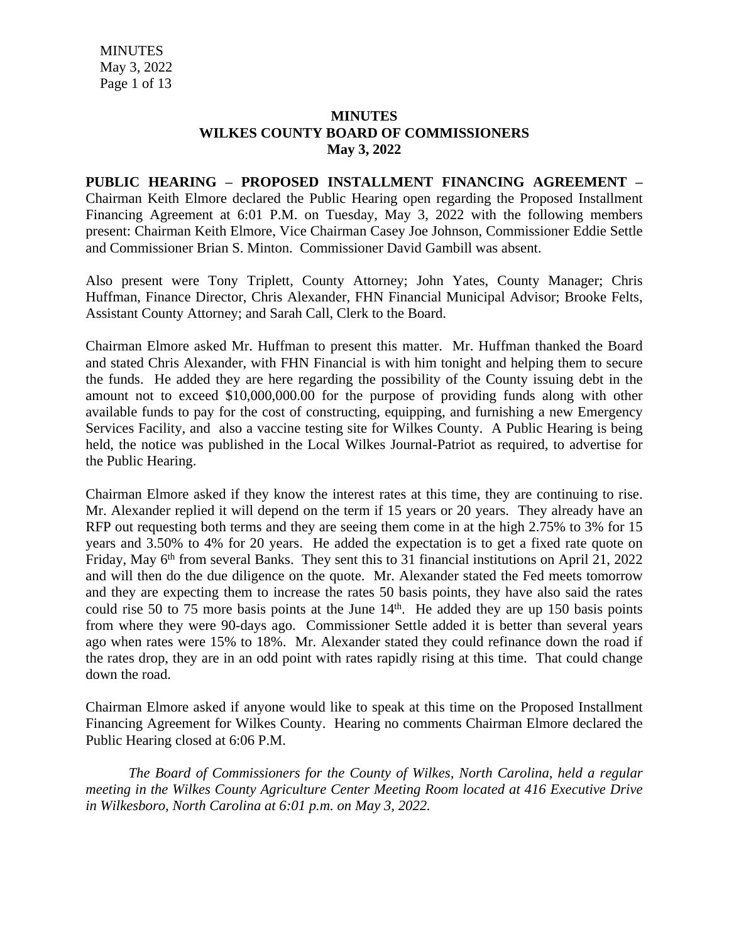### **MINUTES WILKES COUNTY BOARD OF COMMISSIONERS May 3, 2022**

**PUBLIC HEARING – PROPOSED INSTALLMENT FINANCING AGREEMENT –** Chairman Keith Elmore declared the Public Hearing open regarding the Proposed Installment Financing Agreement at 6:01 P.M. on Tuesday, May 3, 2022 with the following members present: Chairman Keith Elmore, Vice Chairman Casey Joe Johnson, Commissioner Eddie Settle and Commissioner Brian S. Minton. Commissioner David Gambill was absent.

Also present were Tony Triplett, County Attorney; John Yates, County Manager; Chris Huffman, Finance Director, Chris Alexander, FHN Financial Municipal Advisor; Brooke Felts, Assistant County Attorney; and Sarah Call, Clerk to the Board.

Chairman Elmore asked Mr. Huffman to present this matter. Mr. Huffman thanked the Board and stated Chris Alexander, with FHN Financial is with him tonight and helping them to secure the funds. He added they are here regarding the possibility of the County issuing debt in the amount not to exceed \$10,000,000.00 for the purpose of providing funds along with other available funds to pay for the cost of constructing, equipping, and furnishing a new Emergency Services Facility, and also a vaccine testing site for Wilkes County. A Public Hearing is being held, the notice was published in the Local Wilkes Journal-Patriot as required, to advertise for the Public Hearing.

Chairman Elmore asked if they know the interest rates at this time, they are continuing to rise. Mr. Alexander replied it will depend on the term if 15 years or 20 years. They already have an RFP out requesting both terms and they are seeing them come in at the high 2.75% to 3% for 15 years and 3.50% to 4% for 20 years. He added the expectation is to get a fixed rate quote on Friday, May 6<sup>th</sup> from several Banks. They sent this to 31 financial institutions on April 21, 2022 and will then do the due diligence on the quote. Mr. Alexander stated the Fed meets tomorrow and they are expecting them to increase the rates 50 basis points, they have also said the rates could rise 50 to 75 more basis points at the June 14<sup>th</sup>. He added they are up 150 basis points from where they were 90-days ago. Commissioner Settle added it is better than several years ago when rates were 15% to 18%. Mr. Alexander stated they could refinance down the road if the rates drop, they are in an odd point with rates rapidly rising at this time. That could change down the road.

Chairman Elmore asked if anyone would like to speak at this time on the Proposed Installment Financing Agreement for Wilkes County. Hearing no comments Chairman Elmore declared the Public Hearing closed at 6:06 P.M.

*The Board of Commissioners for the County of Wilkes, North Carolina, held a regular meeting in the Wilkes County Agriculture Center Meeting Room located at 416 Executive Drive in Wilkesboro, North Carolina at 6:01 p.m. on May 3, 2022.*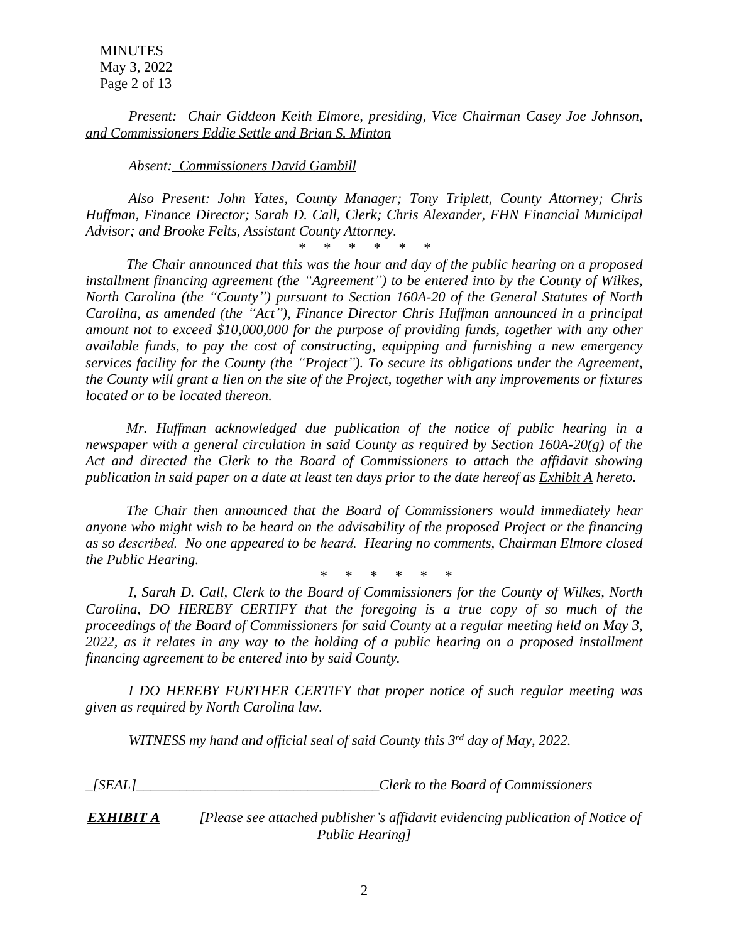**MINUTES**  May 3, 2022 Page 2 of 13

*Present: Chair Giddeon Keith Elmore, presiding, Vice Chairman Casey Joe Johnson, and Commissioners Eddie Settle and Brian S. Minton*

*Absent: Commissioners David Gambill*

*Also Present: John Yates, County Manager; Tony Triplett, County Attorney; Chris Huffman, Finance Director; Sarah D. Call, Clerk; Chris Alexander, FHN Financial Municipal Advisor; and Brooke Felts, Assistant County Attorney.*

*\* \* \* \* \* \* The Chair announced that this was the hour and day of the public hearing on a proposed installment financing agreement (the "Agreement") to be entered into by the County of Wilkes, North Carolina (the "County") pursuant to Section 160A-20 of the General Statutes of North Carolina, as amended (the "Act"), Finance Director Chris Huffman announced in a principal amount not to exceed \$10,000,000 for the purpose of providing funds, together with any other available funds, to pay the cost of constructing, equipping and furnishing a new emergency services facility for the County (the "Project"). To secure its obligations under the Agreement,* the County will grant a lien on the site of the Project, together with any improvements or fixtures *located or to be located thereon.*

*Mr. Huffman acknowledged due publication of the notice of public hearing in a newspaper with a general circulation in said County as required by Section 160A-20(g) of the Act and directed the Clerk to the Board of Commissioners to attach the affidavit showing publication in said paper on a date at least ten days prior to the date hereof as Exhibit A hereto.*

*The Chair then announced that the Board of Commissioners would immediately hear anyone who might wish to be heard on the advisability of the proposed Project or the financing as so described. No one appeared to be heard. Hearing no comments, Chairman Elmore closed the Public Hearing.*

*\* \* \* \* \* \**

*I, Sarah D. Call, Clerk to the Board of Commissioners for the County of Wilkes, North Carolina, DO HEREBY CERTIFY that the foregoing is a true copy of so much of the proceedings of the Board of Commissioners for said County at a regular meeting held on May 3, 2022, as it relates in any way to the holding of a public hearing on a proposed installment financing agreement to be entered into by said County.*

*I DO HEREBY FURTHER CERTIFY that proper notice of such regular meeting was given as required by North Carolina law.*

*WITNESS my hand and official seal of said County this 3rd day of May, 2022.*

*\_[SEAL]\_\_\_\_\_\_\_\_\_\_\_\_\_\_\_\_\_\_\_\_\_\_\_\_\_\_\_\_\_\_\_\_\_\_Clerk to the Board of Commissioners*

*EXHIBIT A [Please see attached publisher's affidavit evidencing publication of Notice of Public Hearing]*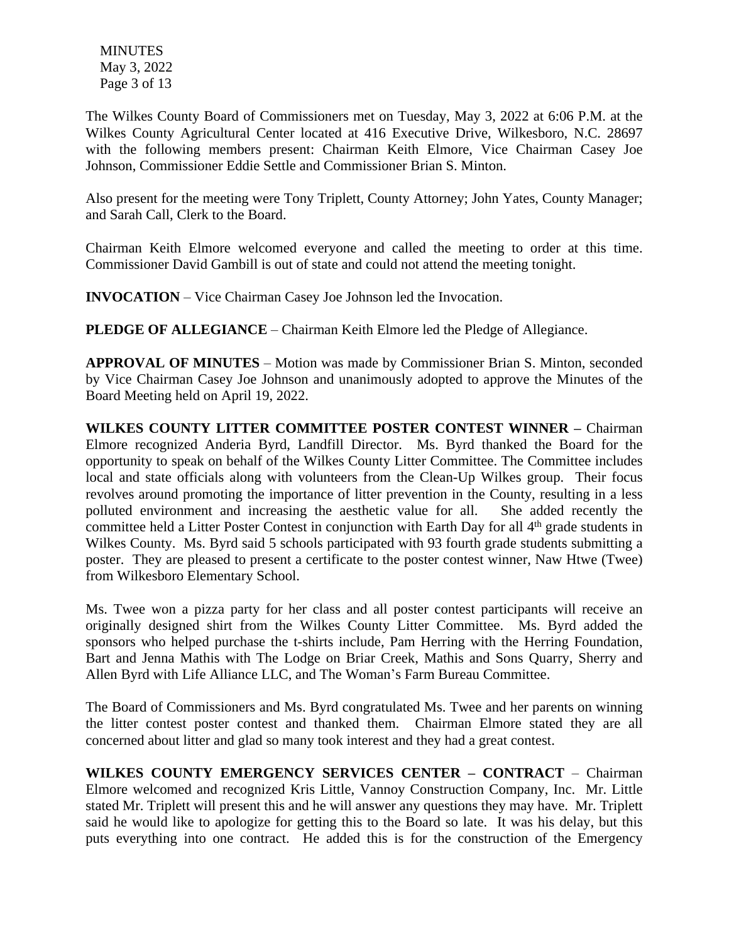**MINUTES**  May 3, 2022 Page 3 of 13

The Wilkes County Board of Commissioners met on Tuesday, May 3, 2022 at 6:06 P.M. at the Wilkes County Agricultural Center located at 416 Executive Drive, Wilkesboro, N.C. 28697 with the following members present: Chairman Keith Elmore, Vice Chairman Casey Joe Johnson, Commissioner Eddie Settle and Commissioner Brian S. Minton.

Also present for the meeting were Tony Triplett, County Attorney; John Yates, County Manager; and Sarah Call, Clerk to the Board.

Chairman Keith Elmore welcomed everyone and called the meeting to order at this time. Commissioner David Gambill is out of state and could not attend the meeting tonight.

**INVOCATION** – Vice Chairman Casey Joe Johnson led the Invocation.

**PLEDGE OF ALLEGIANCE** – Chairman Keith Elmore led the Pledge of Allegiance.

**APPROVAL OF MINUTES** – Motion was made by Commissioner Brian S. Minton, seconded by Vice Chairman Casey Joe Johnson and unanimously adopted to approve the Minutes of the Board Meeting held on April 19, 2022.

**WILKES COUNTY LITTER COMMITTEE POSTER CONTEST WINNER –** Chairman Elmore recognized Anderia Byrd, Landfill Director. Ms. Byrd thanked the Board for the opportunity to speak on behalf of the Wilkes County Litter Committee. The Committee includes local and state officials along with volunteers from the Clean-Up Wilkes group. Their focus revolves around promoting the importance of litter prevention in the County, resulting in a less polluted environment and increasing the aesthetic value for all. She added recently the committee held a Litter Poster Contest in conjunction with Earth Day for all 4<sup>th</sup> grade students in Wilkes County. Ms. Byrd said 5 schools participated with 93 fourth grade students submitting a poster. They are pleased to present a certificate to the poster contest winner, Naw Htwe (Twee) from Wilkesboro Elementary School.

Ms. Twee won a pizza party for her class and all poster contest participants will receive an originally designed shirt from the Wilkes County Litter Committee. Ms. Byrd added the sponsors who helped purchase the t-shirts include, Pam Herring with the Herring Foundation, Bart and Jenna Mathis with The Lodge on Briar Creek, Mathis and Sons Quarry, Sherry and Allen Byrd with Life Alliance LLC, and The Woman's Farm Bureau Committee.

The Board of Commissioners and Ms. Byrd congratulated Ms. Twee and her parents on winning the litter contest poster contest and thanked them. Chairman Elmore stated they are all concerned about litter and glad so many took interest and they had a great contest.

**WILKES COUNTY EMERGENCY SERVICES CENTER – CONTRACT** – Chairman Elmore welcomed and recognized Kris Little, Vannoy Construction Company, Inc. Mr. Little stated Mr. Triplett will present this and he will answer any questions they may have. Mr. Triplett said he would like to apologize for getting this to the Board so late. It was his delay, but this puts everything into one contract. He added this is for the construction of the Emergency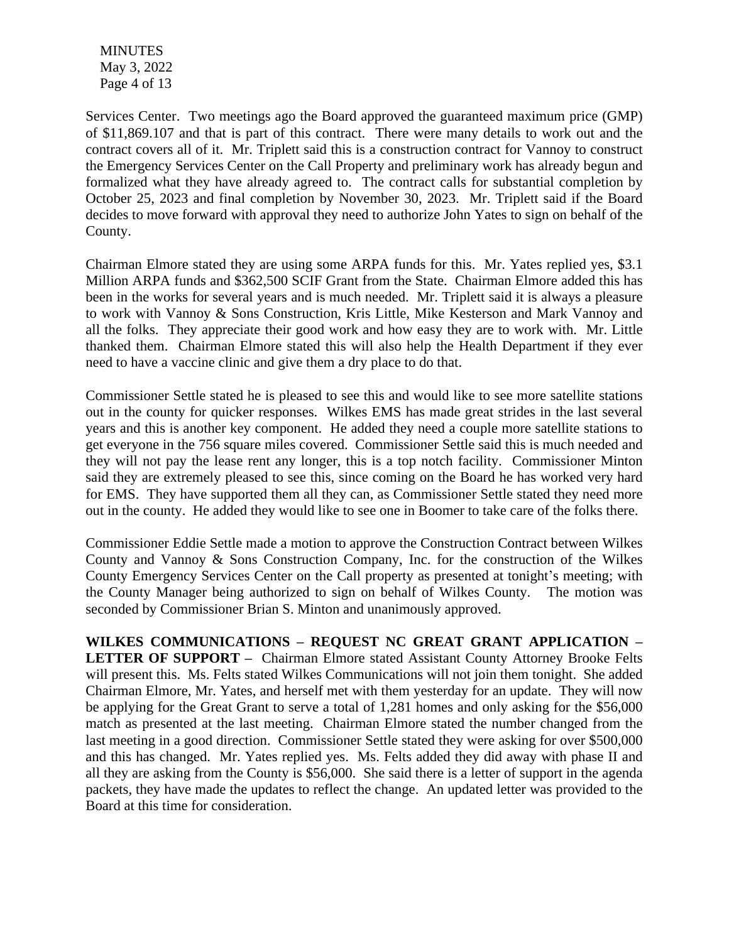**MINUTES**  May 3, 2022 Page 4 of 13

Services Center. Two meetings ago the Board approved the guaranteed maximum price (GMP) of \$11,869.107 and that is part of this contract. There were many details to work out and the contract covers all of it. Mr. Triplett said this is a construction contract for Vannoy to construct the Emergency Services Center on the Call Property and preliminary work has already begun and formalized what they have already agreed to. The contract calls for substantial completion by October 25, 2023 and final completion by November 30, 2023. Mr. Triplett said if the Board decides to move forward with approval they need to authorize John Yates to sign on behalf of the County.

Chairman Elmore stated they are using some ARPA funds for this. Mr. Yates replied yes, \$3.1 Million ARPA funds and \$362,500 SCIF Grant from the State. Chairman Elmore added this has been in the works for several years and is much needed. Mr. Triplett said it is always a pleasure to work with Vannoy & Sons Construction, Kris Little, Mike Kesterson and Mark Vannoy and all the folks. They appreciate their good work and how easy they are to work with. Mr. Little thanked them. Chairman Elmore stated this will also help the Health Department if they ever need to have a vaccine clinic and give them a dry place to do that.

Commissioner Settle stated he is pleased to see this and would like to see more satellite stations out in the county for quicker responses. Wilkes EMS has made great strides in the last several years and this is another key component. He added they need a couple more satellite stations to get everyone in the 756 square miles covered. Commissioner Settle said this is much needed and they will not pay the lease rent any longer, this is a top notch facility. Commissioner Minton said they are extremely pleased to see this, since coming on the Board he has worked very hard for EMS. They have supported them all they can, as Commissioner Settle stated they need more out in the county. He added they would like to see one in Boomer to take care of the folks there.

Commissioner Eddie Settle made a motion to approve the Construction Contract between Wilkes County and Vannoy & Sons Construction Company, Inc. for the construction of the Wilkes County Emergency Services Center on the Call property as presented at tonight's meeting; with the County Manager being authorized to sign on behalf of Wilkes County. The motion was seconded by Commissioner Brian S. Minton and unanimously approved.

**WILKES COMMUNICATIONS – REQUEST NC GREAT GRANT APPLICATION – LETTER OF SUPPORT –** Chairman Elmore stated Assistant County Attorney Brooke Felts will present this. Ms. Felts stated Wilkes Communications will not join them tonight. She added Chairman Elmore, Mr. Yates, and herself met with them yesterday for an update. They will now be applying for the Great Grant to serve a total of 1,281 homes and only asking for the \$56,000 match as presented at the last meeting. Chairman Elmore stated the number changed from the last meeting in a good direction. Commissioner Settle stated they were asking for over \$500,000 and this has changed. Mr. Yates replied yes. Ms. Felts added they did away with phase II and all they are asking from the County is \$56,000. She said there is a letter of support in the agenda packets, they have made the updates to reflect the change. An updated letter was provided to the Board at this time for consideration.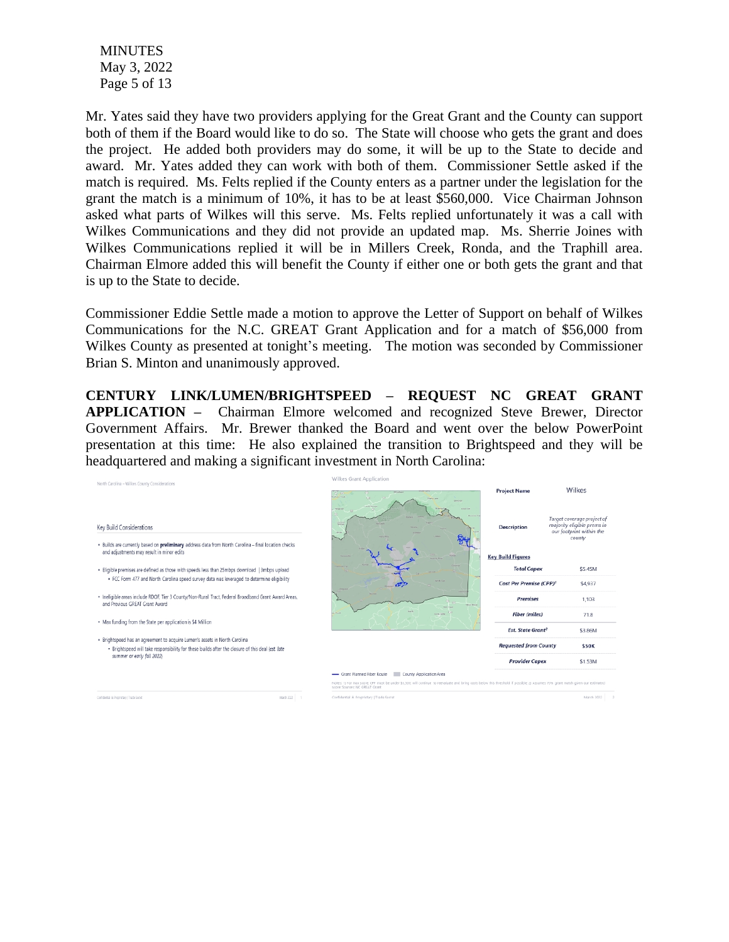MINUTES May 3, 2022 Page 5 of 13

Mr. Yates said they have two providers applying for the Great Grant and the County can support both of them if the Board would like to do so. The State will choose who gets the grant and does the project. He added both providers may do some, it will be up to the State to decide and award. Mr. Yates added they can work with both of them. Commissioner Settle asked if the match is required. Ms. Felts replied if the County enters as a partner under the legislation for the grant the match is a minimum of 10%, it has to be at least \$560,000. Vice Chairman Johnson asked what parts of Wilkes will this serve. Ms. Felts replied unfortunately it was a call with Wilkes Communications and they did not provide an updated map. Ms. Sherrie Joines with Wilkes Communications replied it will be in Millers Creek, Ronda, and the Traphill area. Chairman Elmore added this will benefit the County if either one or both gets the grant and that is up to the State to decide.

Commissioner Eddie Settle made a motion to approve the Letter of Support on behalf of Wilkes Communications for the N.C. GREAT Grant Application and for a match of \$56,000 from Wilkes County as presented at tonight's meeting. The motion was seconded by Commissioner Brian S. Minton and unanimously approved.

**CENTURY LINK/LUMEN/BRIGHTSPEED – REQUEST NC GREAT GRANT APPLICATION –** Chairman Elmore welcomed and recognized Steve Brewer, Director Government Affairs. Mr. Brewer thanked the Board and went over the below PowerPoint presentation at this time: He also explained the transition to Brightspeed and they will be headquartered and making a significant investment in North Carolina:

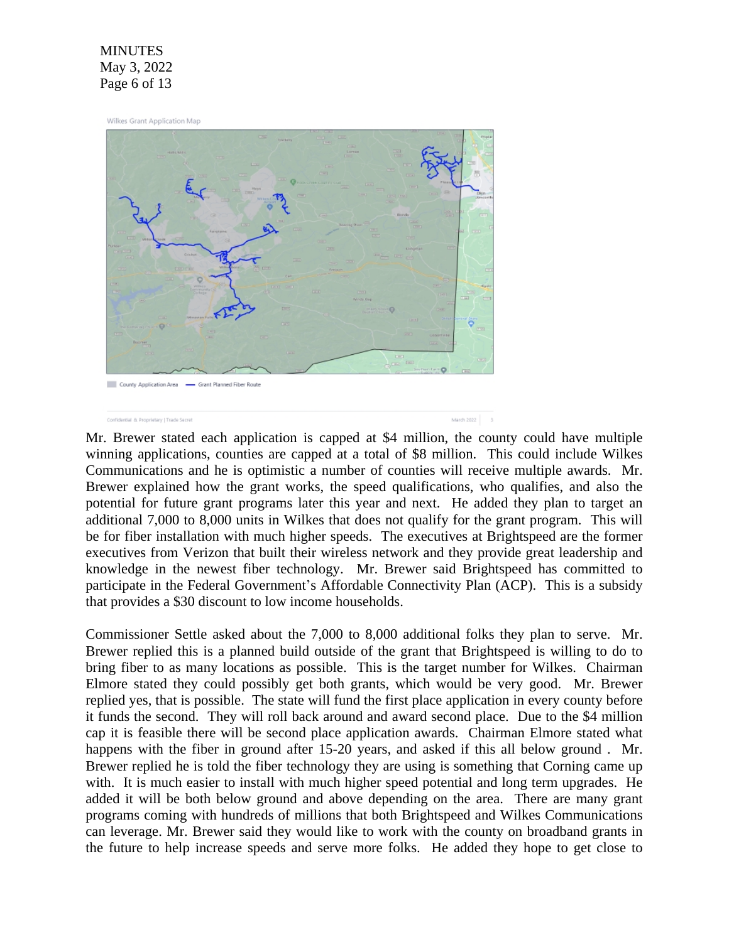### **MINUTES**  May 3, 2022 Page 6 of 13

Wilkes Grant Application Map



Confidential & Proprietary | Trade Secret

March 2022 3

Mr. Brewer stated each application is capped at \$4 million, the county could have multiple winning applications, counties are capped at a total of \$8 million. This could include Wilkes Communications and he is optimistic a number of counties will receive multiple awards. Mr. Brewer explained how the grant works, the speed qualifications, who qualifies, and also the potential for future grant programs later this year and next. He added they plan to target an additional 7,000 to 8,000 units in Wilkes that does not qualify for the grant program. This will be for fiber installation with much higher speeds. The executives at Brightspeed are the former executives from Verizon that built their wireless network and they provide great leadership and knowledge in the newest fiber technology. Mr. Brewer said Brightspeed has committed to participate in the Federal Government's Affordable Connectivity Plan (ACP). This is a subsidy that provides a \$30 discount to low income households.

Commissioner Settle asked about the 7,000 to 8,000 additional folks they plan to serve. Mr. Brewer replied this is a planned build outside of the grant that Brightspeed is willing to do to bring fiber to as many locations as possible. This is the target number for Wilkes. Chairman Elmore stated they could possibly get both grants, which would be very good. Mr. Brewer replied yes, that is possible. The state will fund the first place application in every county before it funds the second. They will roll back around and award second place. Due to the \$4 million cap it is feasible there will be second place application awards. Chairman Elmore stated what happens with the fiber in ground after 15-20 years, and asked if this all below ground . Mr. Brewer replied he is told the fiber technology they are using is something that Corning came up with. It is much easier to install with much higher speed potential and long term upgrades. He added it will be both below ground and above depending on the area. There are many grant programs coming with hundreds of millions that both Brightspeed and Wilkes Communications can leverage. Mr. Brewer said they would like to work with the county on broadband grants in the future to help increase speeds and serve more folks. He added they hope to get close to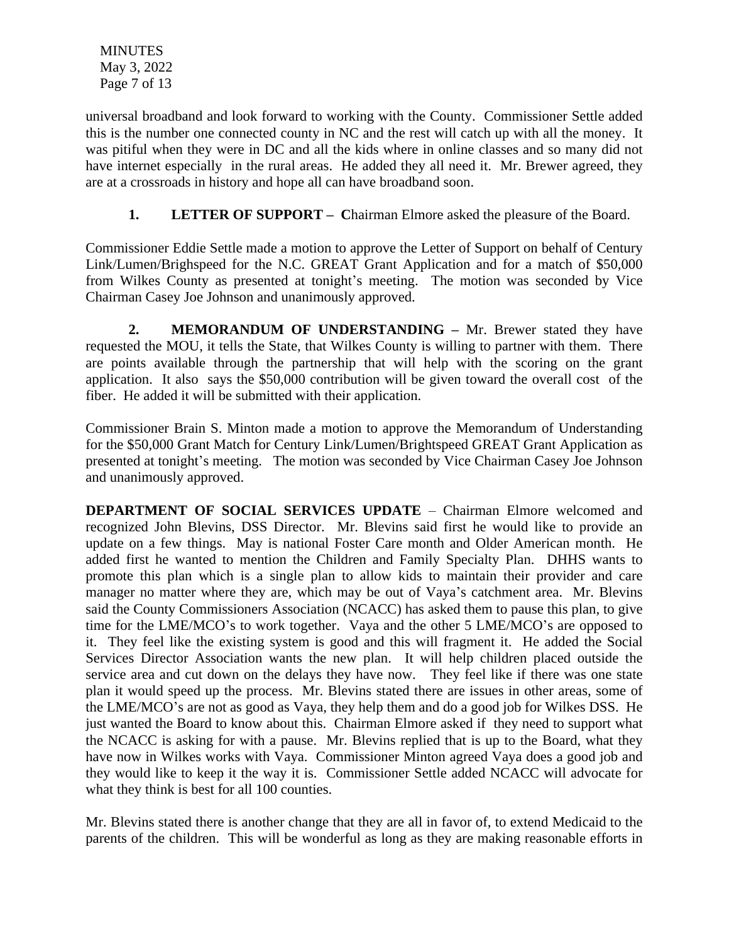**MINUTES**  May 3, 2022 Page 7 of 13

universal broadband and look forward to working with the County. Commissioner Settle added this is the number one connected county in NC and the rest will catch up with all the money. It was pitiful when they were in DC and all the kids where in online classes and so many did not have internet especially in the rural areas. He added they all need it. Mr. Brewer agreed, they are at a crossroads in history and hope all can have broadband soon.

# **1. LETTER OF SUPPORT – C**hairman Elmore asked the pleasure of the Board.

Commissioner Eddie Settle made a motion to approve the Letter of Support on behalf of Century Link/Lumen/Brighspeed for the N.C. GREAT Grant Application and for a match of \$50,000 from Wilkes County as presented at tonight's meeting. The motion was seconded by Vice Chairman Casey Joe Johnson and unanimously approved.

**2. MEMORANDUM OF UNDERSTANDING –** Mr. Brewer stated they have requested the MOU, it tells the State, that Wilkes County is willing to partner with them. There are points available through the partnership that will help with the scoring on the grant application. It also says the \$50,000 contribution will be given toward the overall cost of the fiber. He added it will be submitted with their application.

Commissioner Brain S. Minton made a motion to approve the Memorandum of Understanding for the \$50,000 Grant Match for Century Link/Lumen/Brightspeed GREAT Grant Application as presented at tonight's meeting. The motion was seconded by Vice Chairman Casey Joe Johnson and unanimously approved.

**DEPARTMENT OF SOCIAL SERVICES UPDATE** – Chairman Elmore welcomed and recognized John Blevins, DSS Director. Mr. Blevins said first he would like to provide an update on a few things. May is national Foster Care month and Older American month. He added first he wanted to mention the Children and Family Specialty Plan. DHHS wants to promote this plan which is a single plan to allow kids to maintain their provider and care manager no matter where they are, which may be out of Vaya's catchment area. Mr. Blevins said the County Commissioners Association (NCACC) has asked them to pause this plan, to give time for the LME/MCO's to work together. Vaya and the other 5 LME/MCO's are opposed to it. They feel like the existing system is good and this will fragment it. He added the Social Services Director Association wants the new plan. It will help children placed outside the service area and cut down on the delays they have now. They feel like if there was one state plan it would speed up the process. Mr. Blevins stated there are issues in other areas, some of the LME/MCO's are not as good as Vaya, they help them and do a good job for Wilkes DSS. He just wanted the Board to know about this. Chairman Elmore asked if they need to support what the NCACC is asking for with a pause. Mr. Blevins replied that is up to the Board, what they have now in Wilkes works with Vaya. Commissioner Minton agreed Vaya does a good job and they would like to keep it the way it is. Commissioner Settle added NCACC will advocate for what they think is best for all 100 counties.

Mr. Blevins stated there is another change that they are all in favor of, to extend Medicaid to the parents of the children. This will be wonderful as long as they are making reasonable efforts in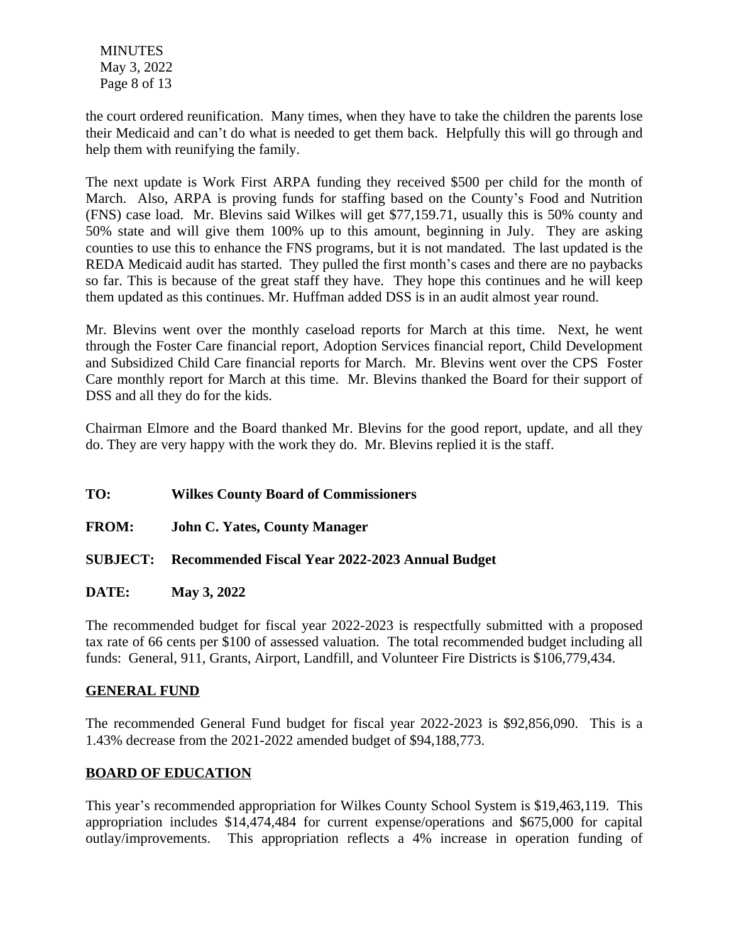**MINUTES**  May 3, 2022 Page 8 of 13

the court ordered reunification. Many times, when they have to take the children the parents lose their Medicaid and can't do what is needed to get them back. Helpfully this will go through and help them with reunifying the family.

The next update is Work First ARPA funding they received \$500 per child for the month of March. Also, ARPA is proving funds for staffing based on the County's Food and Nutrition (FNS) case load. Mr. Blevins said Wilkes will get \$77,159.71, usually this is 50% county and 50% state and will give them 100% up to this amount, beginning in July. They are asking counties to use this to enhance the FNS programs, but it is not mandated. The last updated is the REDA Medicaid audit has started. They pulled the first month's cases and there are no paybacks so far. This is because of the great staff they have. They hope this continues and he will keep them updated as this continues. Mr. Huffman added DSS is in an audit almost year round.

Mr. Blevins went over the monthly caseload reports for March at this time. Next, he went through the Foster Care financial report, Adoption Services financial report, Child Development and Subsidized Child Care financial reports for March. Mr. Blevins went over the CPS Foster Care monthly report for March at this time. Mr. Blevins thanked the Board for their support of DSS and all they do for the kids.

Chairman Elmore and the Board thanked Mr. Blevins for the good report, update, and all they do. They are very happy with the work they do. Mr. Blevins replied it is the staff.

- **TO: Wilkes County Board of Commissioners**
- **FROM: John C. Yates, County Manager**

# **SUBJECT: Recommended Fiscal Year 2022-2023 Annual Budget**

**DATE: May 3, 2022**

The recommended budget for fiscal year 2022-2023 is respectfully submitted with a proposed tax rate of 66 cents per \$100 of assessed valuation. The total recommended budget including all funds: General, 911, Grants, Airport, Landfill, and Volunteer Fire Districts is \$106,779,434.

# **GENERAL FUND**

The recommended General Fund budget for fiscal year 2022-2023 is \$92,856,090. This is a 1.43% decrease from the 2021-2022 amended budget of \$94,188,773.

# **BOARD OF EDUCATION**

This year's recommended appropriation for Wilkes County School System is \$19,463,119. This appropriation includes \$14,474,484 for current expense/operations and \$675,000 for capital outlay/improvements. This appropriation reflects a 4% increase in operation funding of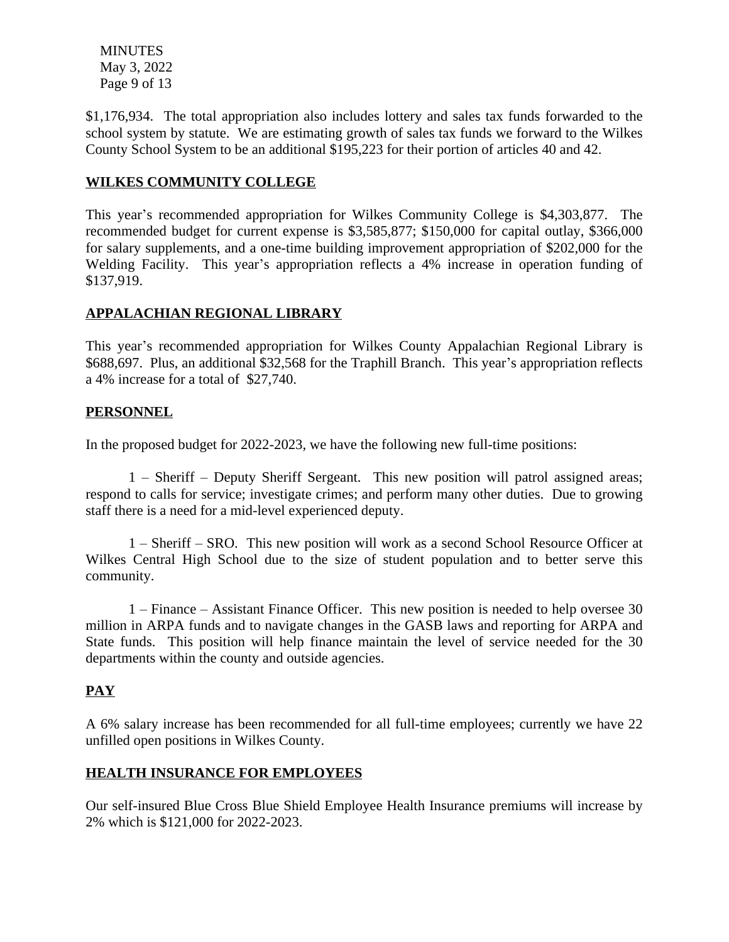**MINUTES**  May 3, 2022 Page 9 of 13

\$1,176,934. The total appropriation also includes lottery and sales tax funds forwarded to the school system by statute. We are estimating growth of sales tax funds we forward to the Wilkes County School System to be an additional \$195,223 for their portion of articles 40 and 42.

### **WILKES COMMUNITY COLLEGE**

This year's recommended appropriation for Wilkes Community College is \$4,303,877. The recommended budget for current expense is \$3,585,877; \$150,000 for capital outlay, \$366,000 for salary supplements, and a one-time building improvement appropriation of \$202,000 for the Welding Facility. This year's appropriation reflects a 4% increase in operation funding of \$137,919.

### **APPALACHIAN REGIONAL LIBRARY**

This year's recommended appropriation for Wilkes County Appalachian Regional Library is \$688,697. Plus, an additional \$32,568 for the Traphill Branch. This year's appropriation reflects a 4% increase for a total of \$27,740.

### **PERSONNEL**

In the proposed budget for 2022-2023, we have the following new full-time positions:

1 – Sheriff – Deputy Sheriff Sergeant. This new position will patrol assigned areas; respond to calls for service; investigate crimes; and perform many other duties. Due to growing staff there is a need for a mid-level experienced deputy.

1 – Sheriff – SRO. This new position will work as a second School Resource Officer at Wilkes Central High School due to the size of student population and to better serve this community.

1 – Finance – Assistant Finance Officer. This new position is needed to help oversee 30 million in ARPA funds and to navigate changes in the GASB laws and reporting for ARPA and State funds. This position will help finance maintain the level of service needed for the 30 departments within the county and outside agencies.

# **PAY**

A 6% salary increase has been recommended for all full-time employees; currently we have 22 unfilled open positions in Wilkes County.

# **HEALTH INSURANCE FOR EMPLOYEES**

Our self-insured Blue Cross Blue Shield Employee Health Insurance premiums will increase by 2% which is \$121,000 for 2022-2023.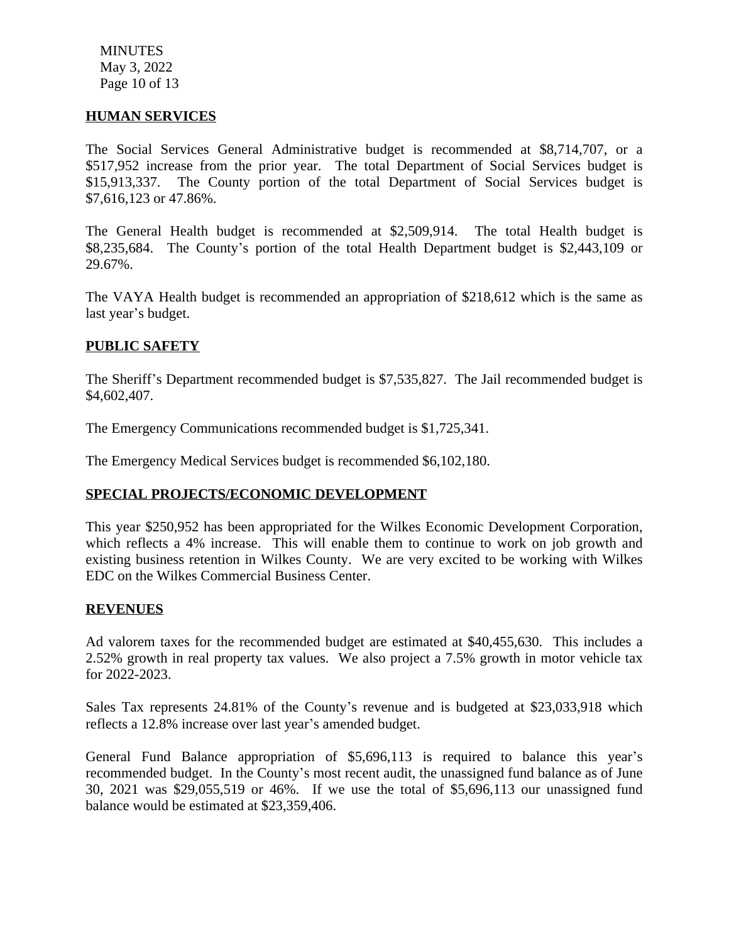**MINUTES**  May 3, 2022 Page 10 of 13

#### **HUMAN SERVICES**

The Social Services General Administrative budget is recommended at \$8,714,707, or a \$517,952 increase from the prior year. The total Department of Social Services budget is \$15,913,337. The County portion of the total Department of Social Services budget is \$7,616,123 or 47.86%.

The General Health budget is recommended at \$2,509,914. The total Health budget is \$8,235,684. The County's portion of the total Health Department budget is \$2,443,109 or 29.67%.

The VAYA Health budget is recommended an appropriation of \$218,612 which is the same as last year's budget.

#### **PUBLIC SAFETY**

The Sheriff's Department recommended budget is \$7,535,827. The Jail recommended budget is \$4,602,407.

The Emergency Communications recommended budget is \$1,725,341.

The Emergency Medical Services budget is recommended \$6,102,180.

#### **SPECIAL PROJECTS/ECONOMIC DEVELOPMENT**

This year \$250,952 has been appropriated for the Wilkes Economic Development Corporation, which reflects a 4% increase. This will enable them to continue to work on job growth and existing business retention in Wilkes County. We are very excited to be working with Wilkes EDC on the Wilkes Commercial Business Center.

#### **REVENUES**

Ad valorem taxes for the recommended budget are estimated at \$40,455,630. This includes a 2.52% growth in real property tax values. We also project a 7.5% growth in motor vehicle tax for 2022-2023.

Sales Tax represents 24.81% of the County's revenue and is budgeted at \$23,033,918 which reflects a 12.8% increase over last year's amended budget.

General Fund Balance appropriation of \$5,696,113 is required to balance this year's recommended budget. In the County's most recent audit, the unassigned fund balance as of June 30, 2021 was \$29,055,519 or 46%. If we use the total of \$5,696,113 our unassigned fund balance would be estimated at \$23,359,406.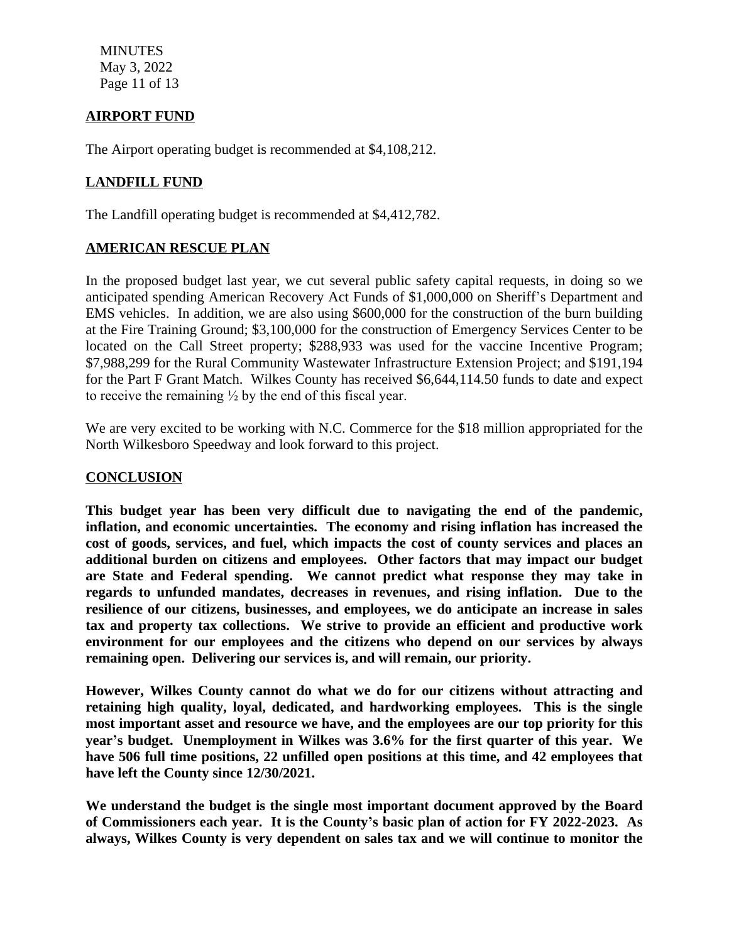**MINUTES**  May 3, 2022 Page 11 of 13

### **AIRPORT FUND**

The Airport operating budget is recommended at \$4,108,212.

### **LANDFILL FUND**

The Landfill operating budget is recommended at \$4,412,782.

# **AMERICAN RESCUE PLAN**

In the proposed budget last year, we cut several public safety capital requests, in doing so we anticipated spending American Recovery Act Funds of \$1,000,000 on Sheriff's Department and EMS vehicles. In addition, we are also using \$600,000 for the construction of the burn building at the Fire Training Ground; \$3,100,000 for the construction of Emergency Services Center to be located on the Call Street property; \$288,933 was used for the vaccine Incentive Program; \$7,988,299 for the Rural Community Wastewater Infrastructure Extension Project; and \$191,194 for the Part F Grant Match. Wilkes County has received \$6,644,114.50 funds to date and expect to receive the remaining  $\frac{1}{2}$  by the end of this fiscal year.

We are very excited to be working with N.C. Commerce for the \$18 million appropriated for the North Wilkesboro Speedway and look forward to this project.

#### **CONCLUSION**

**This budget year has been very difficult due to navigating the end of the pandemic, inflation, and economic uncertainties. The economy and rising inflation has increased the cost of goods, services, and fuel, which impacts the cost of county services and places an additional burden on citizens and employees. Other factors that may impact our budget are State and Federal spending. We cannot predict what response they may take in regards to unfunded mandates, decreases in revenues, and rising inflation. Due to the resilience of our citizens, businesses, and employees, we do anticipate an increase in sales tax and property tax collections. We strive to provide an efficient and productive work environment for our employees and the citizens who depend on our services by always remaining open. Delivering our services is, and will remain, our priority.** 

**However, Wilkes County cannot do what we do for our citizens without attracting and retaining high quality, loyal, dedicated, and hardworking employees. This is the single most important asset and resource we have, and the employees are our top priority for this year's budget. Unemployment in Wilkes was 3.6% for the first quarter of this year. We have 506 full time positions, 22 unfilled open positions at this time, and 42 employees that have left the County since 12/30/2021.** 

**We understand the budget is the single most important document approved by the Board of Commissioners each year. It is the County's basic plan of action for FY 2022-2023. As always, Wilkes County is very dependent on sales tax and we will continue to monitor the**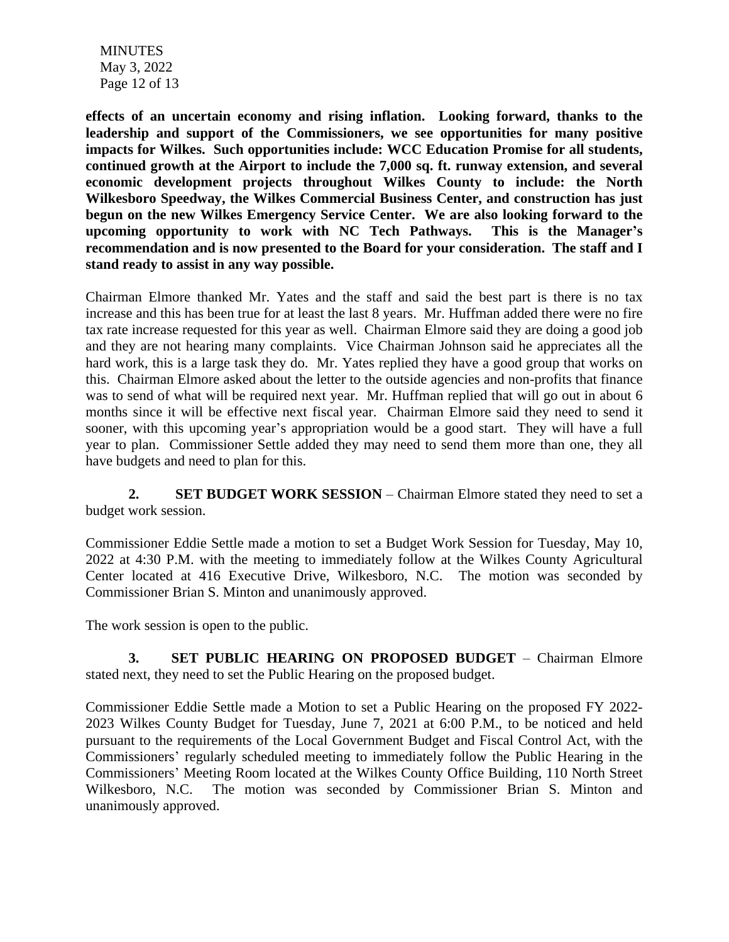**MINUTES**  May 3, 2022 Page 12 of 13

**effects of an uncertain economy and rising inflation. Looking forward, thanks to the leadership and support of the Commissioners, we see opportunities for many positive impacts for Wilkes. Such opportunities include: WCC Education Promise for all students, continued growth at the Airport to include the 7,000 sq. ft. runway extension, and several economic development projects throughout Wilkes County to include: the North Wilkesboro Speedway, the Wilkes Commercial Business Center, and construction has just begun on the new Wilkes Emergency Service Center. We are also looking forward to the upcoming opportunity to work with NC Tech Pathways. This is the Manager's recommendation and is now presented to the Board for your consideration. The staff and I stand ready to assist in any way possible.** 

Chairman Elmore thanked Mr. Yates and the staff and said the best part is there is no tax increase and this has been true for at least the last 8 years. Mr. Huffman added there were no fire tax rate increase requested for this year as well. Chairman Elmore said they are doing a good job and they are not hearing many complaints. Vice Chairman Johnson said he appreciates all the hard work, this is a large task they do. Mr. Yates replied they have a good group that works on this. Chairman Elmore asked about the letter to the outside agencies and non-profits that finance was to send of what will be required next year. Mr. Huffman replied that will go out in about 6 months since it will be effective next fiscal year. Chairman Elmore said they need to send it sooner, with this upcoming year's appropriation would be a good start. They will have a full year to plan. Commissioner Settle added they may need to send them more than one, they all have budgets and need to plan for this.

**2. SET BUDGET WORK SESSION** – Chairman Elmore stated they need to set a budget work session.

Commissioner Eddie Settle made a motion to set a Budget Work Session for Tuesday, May 10, 2022 at 4:30 P.M. with the meeting to immediately follow at the Wilkes County Agricultural Center located at 416 Executive Drive, Wilkesboro, N.C. The motion was seconded by Commissioner Brian S. Minton and unanimously approved.

The work session is open to the public.

**3. SET PUBLIC HEARING ON PROPOSED BUDGET** – Chairman Elmore stated next, they need to set the Public Hearing on the proposed budget.

Commissioner Eddie Settle made a Motion to set a Public Hearing on the proposed FY 2022- 2023 Wilkes County Budget for Tuesday, June 7, 2021 at 6:00 P.M., to be noticed and held pursuant to the requirements of the Local Government Budget and Fiscal Control Act, with the Commissioners' regularly scheduled meeting to immediately follow the Public Hearing in the Commissioners' Meeting Room located at the Wilkes County Office Building, 110 North Street Wilkesboro, N.C. The motion was seconded by Commissioner Brian S. Minton and unanimously approved.